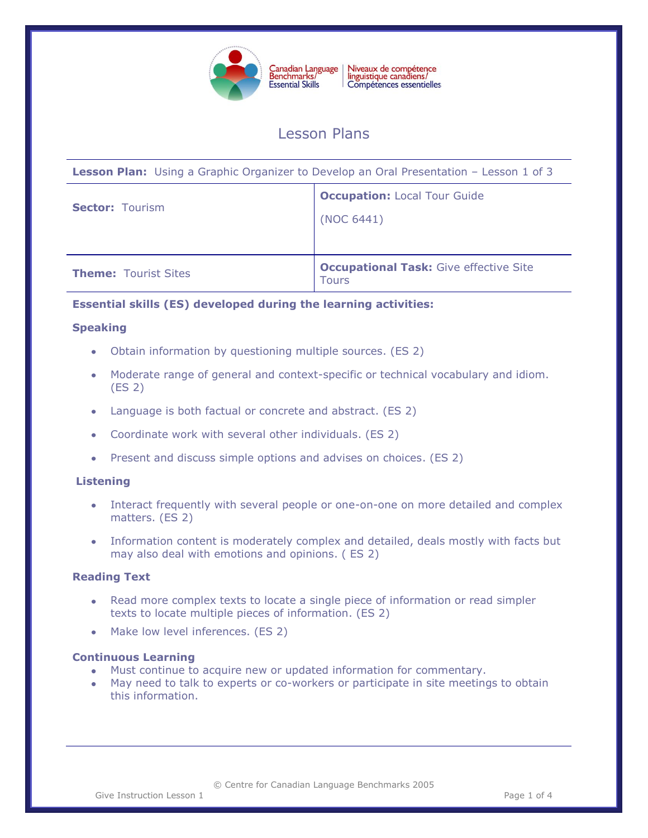

Niveaux de compétence<br>linguistique canadiens/ Compétences essentielles

# Lesson Plans

**Lesson Plan:** Using a Graphic Organizer to Develop an Oral Presentation – Lesson 1 of 3

| <b>Sector: Tourism</b>      | <b>Occupation: Local Tour Guide</b><br>(NOC 6441)             |
|-----------------------------|---------------------------------------------------------------|
| <b>Theme: Tourist Sites</b> | <b>Occupational Task: Give effective Site</b><br><b>Tours</b> |

# **Essential skills (ES) developed during the learning activities:**

#### **Speaking**

- Obtain information by questioning multiple sources. (ES 2)
- Moderate range of general and context-specific or technical vocabulary and idiom. (ES 2)
- Language is both factual or concrete and abstract. (ES 2)
- Coordinate work with several other individuals. (ES 2)
- Present and discuss simple options and advises on choices. (ES 2)  $\bullet$

# **Listening**

- Interact frequently with several people or one-on-one on more detailed and complex matters. (ES 2)
- Information content is moderately complex and detailed, deals mostly with facts but may also deal with emotions and opinions. ( ES 2)

# **Reading Text**

- Read more complex texts to locate a single piece of information or read simpler texts to locate multiple pieces of information. (ES 2)
- Make low level inferences. (ES 2)

# **Continuous Learning**

- Must continue to acquire new or updated information for commentary.  $\bullet$
- May need to talk to experts or co-workers or participate in site meetings to obtain this information.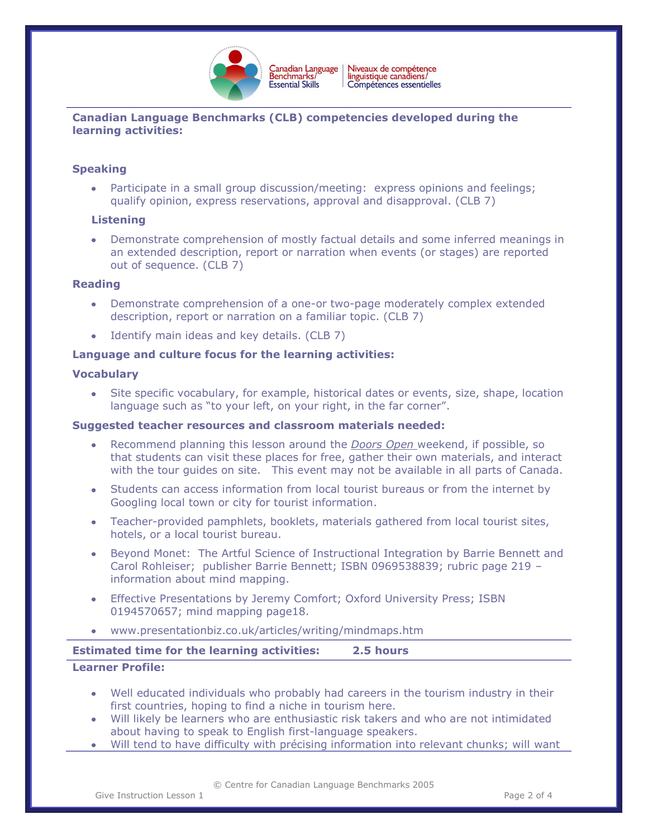

# **Canadian Language Benchmarks (CLB) competencies developed during the learning activities:**

# **Speaking**

Participate in a small group discussion/meeting: express opinions and feelings; qualify opinion, express reservations, approval and disapproval. (CLB 7)

# **Listening**

Demonstrate comprehension of mostly factual details and some inferred meanings in an extended description, report or narration when events (or stages) are reported out of sequence. (CLB 7)

#### **Reading**

- Demonstrate comprehension of a one-or two-page moderately complex extended description, report or narration on a familiar topic. (CLB 7)
- Identify main ideas and key details. (CLB 7)

# **Language and culture focus for the learning activities:**

#### **Vocabulary**

Site specific vocabulary, for example, historical dates or events, size, shape, location language such as "to your left, on your right, in the far corner".

#### **Suggested teacher resources and classroom materials needed:**

- Recommend planning this lesson around the *Doors Open* weekend, if possible, so that students can visit these places for free, gather their own materials, and interact with the tour guides on site. This event may not be available in all parts of Canada.
- Students can access information from local tourist bureaus or from the internet by Googling local town or city for tourist information.
- Teacher-provided pamphlets, booklets, materials gathered from local tourist sites, hotels, or a local tourist bureau.
- Beyond Monet: The Artful Science of Instructional Integration by Barrie Bennett and Carol Rohleiser; publisher Barrie Bennett; ISBN 0969538839; rubric page 219 – information about mind mapping.
- Effective Presentations by Jeremy Comfort; Oxford University Press; ISBN  $\bullet$ 0194570657; mind mapping page18.
- www.presentationbiz.co.uk/articles/writing/mindmaps.htm

# **Estimated time for the learning activities: 2.5 hours**

# **Learner Profile:**

- Well educated individuals who probably had careers in the tourism industry in their first countries, hoping to find a niche in tourism here.
- Will likely be learners who are enthusiastic risk takers and who are not intimidated about having to speak to English first-language speakers.
- Will tend to have difficulty with précising information into relevant chunks; will want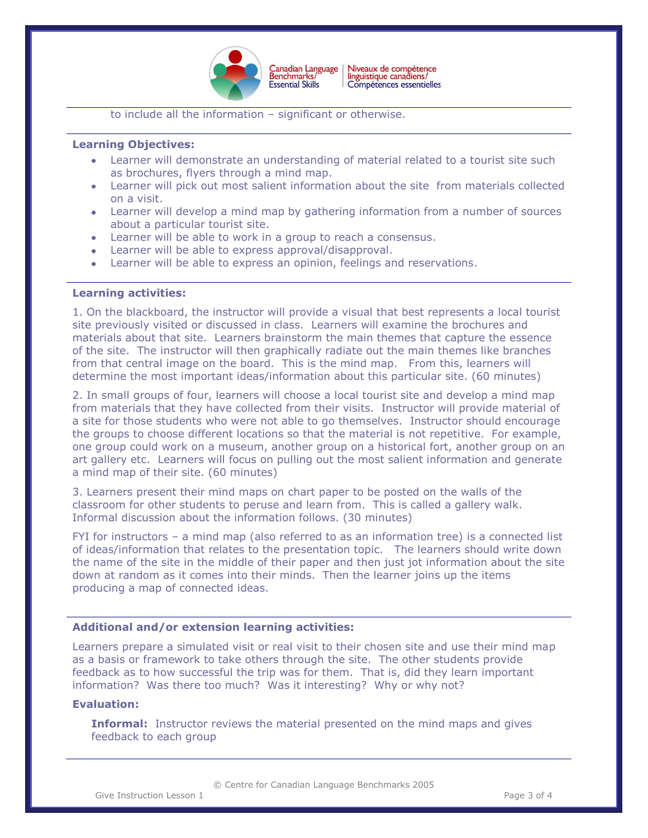

Niveaux de compétence<br>linguistique canadiens/ Canadian Language<br>Benchmarks/ Compétences essentielles

to include all the information – significant or otherwise.

#### **Learning Objectives:**

- Learner will demonstrate an understanding of material related to a tourist site such as brochures, flyers through a mind map.
- Learner will pick out most salient information about the site from materials collected on a visit.
- Learner will develop a mind map by gathering information from a number of sources about a particular tourist site.
- Learner will be able to work in a group to reach a consensus.
- Learner will be able to express approval/disapproval.
- Learner will be able to express an opinion, feelings and reservations.

#### **Learning activities:**

1. On the blackboard, the instructor will provide a visual that best represents a local tourist site previously visited or discussed in class. Learners will examine the brochures and materials about that site. Learners brainstorm the main themes that capture the essence of the site. The instructor will then graphically radiate out the main themes like branches from that central image on the board. This is the mind map. From this, learners will determine the most important ideas/information about this particular site. (60 minutes)

2. In small groups of four, learners will choose a local tourist site and develop a mind map from materials that they have collected from their visits. Instructor will provide material of a site for those students who were not able to go themselves. Instructor should encourage the groups to choose different locations so that the material is not repetitive. For example, one group could work on a museum, another group on a historical fort, another group on an art gallery etc. Learners will focus on pulling out the most salient information and generate a mind map of their site. (60 minutes)

3. Learners present their mind maps on chart paper to be posted on the walls of the classroom for other students to peruse and learn from. This is called a gallery walk. Informal discussion about the information follows. (30 minutes)

FYI for instructors – a mind map (also referred to as an information tree) is a connected list of ideas/information that relates to the presentation topic. The learners should write down the name of the site in the middle of their paper and then just jot information about the site down at random as it comes into their minds. Then the learner joins up the items producing a map of connected ideas.

#### **Additional and/or extension learning activities:**

Learners prepare a simulated visit or real visit to their chosen site and use their mind map as a basis or framework to take others through the site. The other students provide feedback as to how successful the trip was for them. That is, did they learn important information? Was there too much? Was it interesting? Why or why not?

#### **Evaluation:**

**Informal:** Instructor reviews the material presented on the mind maps and gives feedback to each group

© Centre for Canadian Language Benchmarks 2005